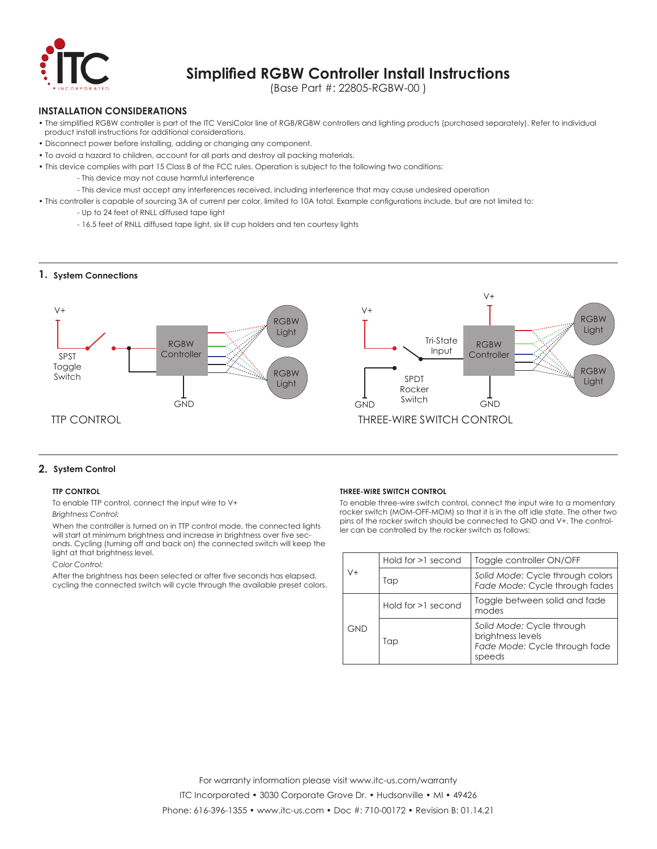

# **Simplified RGBW Controller Install Instructions**

(Base Part #: 22805-RGBW-00 )

### **INSTALLATION CONSIDERATIONS**

- The simplified RGBW controller is part of the ITC VersiColor line of RGB/RGBW controllers and lighting products (purchased separately). Refer to individual product install instructions for additional considerations.
- Disconnect power before installing, adding or changing any component.
- To avoid a hazard to children, account for all parts and destroy all packing materials.
- This device complies with part 15 Class B of the FCC rules. Operation is subject to the following two conditions:
	- This device may not cause harmful interference
	- This device must accept any interferences received, including interference that may cause undesired operation
- This controller is capable of sourcing 3A of current per color, limited to 10A total. Example configurations include, but are not limited to:
	- Up to 24 feet of RNLL diffused tape light
	- 16.5 feet of RNLL diffused tape light, six lit cup holders and ten courtesy lights

### **1. System Connections**



### **2. System Control**

### **TTP CONTROL**

To enable TTP control, connect the input wire to V+ *Brightness Control:* 

When the controller is turned on in TTP control mode, the connected lights will start at minimum brightness and increase in brightness over five seconds. Cycling (turning off and back on) the connected switch will keep the light at that brightness level.

### *Color Control:*

After the brightness has been selected or after five seconds has elapsed, cycling the connected switch will cycle through the available preset colors.

#### **THREE-WIRE SWITCH CONTROL**

To enable three-wire switch control, connect the input wire to a momentary rocker switch (MOM-OFF-MOM) so that it is in the off idle state. The other two pins of the rocker switch should be connected to GND and V+. The controller can be controlled by the rocker switch as follows:

| V+  | Hold for $>1$ second | Toggle controller ON/OFF                                                                  |
|-----|----------------------|-------------------------------------------------------------------------------------------|
|     | Tap                  | Solid Mode: Cycle through colors<br>Fade Mode: Cycle through fades                        |
| GND | Hold for >1 second   | Toggle between solid and fade<br>modes                                                    |
|     | Tap                  | Solid Mode: Cycle through<br>brightness levels<br>Fade Mode: Cycle through fade<br>speeds |

ITC Incorporated • 3030 Corporate Grove Dr. • Hudsonville • MI • 49426

Phone: 616-396-1355 • www.itc-us.com • Doc #: 710-00172 • Revision B: 01.14.21